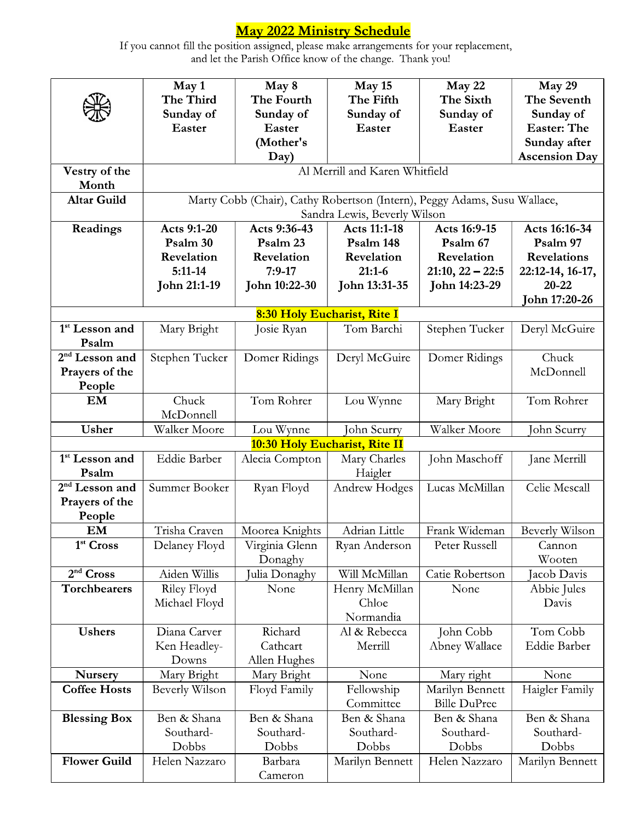May 2022 Ministry Schedule<br>If you cannot fill the position assigned, please make arrangements for your replacement,<br>and let the Parish Office know of the change. Thank you!

| May 1<br>May 8<br>May 15<br>May 22<br>The Third<br>The Fourth<br>The Fifth<br>The Sixth<br>The Seventh                                              | May 29                       |  |  |  |  |  |
|-----------------------------------------------------------------------------------------------------------------------------------------------------|------------------------------|--|--|--|--|--|
|                                                                                                                                                     |                              |  |  |  |  |  |
| Sunday of<br>Sunday of<br>Sunday of<br>Sunday of<br>Sunday of                                                                                       |                              |  |  |  |  |  |
| <b>Easter</b><br>Easter<br>Easter<br>Easter<br><b>Easter: The</b>                                                                                   |                              |  |  |  |  |  |
| (Mother's<br>Sunday after                                                                                                                           |                              |  |  |  |  |  |
|                                                                                                                                                     |                              |  |  |  |  |  |
| Al Merrill and Karen Whitfield<br>Vestry of the                                                                                                     | <b>Ascension Day</b><br>Day) |  |  |  |  |  |
| Month                                                                                                                                               |                              |  |  |  |  |  |
| <b>Altar Guild</b><br>Marty Cobb (Chair), Cathy Robertson (Intern), Peggy Adams, Susu Wallace,                                                      |                              |  |  |  |  |  |
| Sandra Lewis, Beverly Wilson                                                                                                                        |                              |  |  |  |  |  |
| Acts 16:9-15<br>Acts 9:36-43<br>Acts 11:1-18<br>Acts 16:16-34<br>Readings<br>Acts 9:1-20                                                            |                              |  |  |  |  |  |
| Psalm 30<br>Psalm 23<br>Psalm 148<br>Psalm 67<br>Psalm 97                                                                                           |                              |  |  |  |  |  |
| Revelation<br>Revelation<br>Revelation<br><b>Revelations</b><br>Revelation                                                                          |                              |  |  |  |  |  |
| $21:10, 22 - 22:5$<br>5:11-14<br>$7:9-17$<br>$21:1-6$<br>22:12-14, 16-17,                                                                           |                              |  |  |  |  |  |
| John 21:1-19<br>John 10:22-30<br>John 13:31-35<br>John 14:23-29<br>20-22                                                                            |                              |  |  |  |  |  |
| John 17:20-26                                                                                                                                       |                              |  |  |  |  |  |
| 8:30 Holy Eucharist, Rite I                                                                                                                         |                              |  |  |  |  |  |
| Tom Barchi<br>1 <sup>st</sup> Lesson and<br>Mary Bright<br>Stephen Tucker<br>Deryl McGuire<br>Josie Ryan<br>Psalm                                   |                              |  |  |  |  |  |
| $2nd$ Lesson and<br>Stephen Tucker<br>Domer Ridings<br>Deryl McGuire<br>Domer Ridings<br>Chuck                                                      |                              |  |  |  |  |  |
| McDonnell<br>Prayers of the                                                                                                                         |                              |  |  |  |  |  |
| People                                                                                                                                              |                              |  |  |  |  |  |
| Chuck<br>Tom Rohrer<br>Tom Rohrer<br>Mary Bright<br>EM<br>Lou Wynne                                                                                 |                              |  |  |  |  |  |
| McDonnell                                                                                                                                           |                              |  |  |  |  |  |
| Usher<br>Walker Moore<br>Walker Moore<br>Lou Wynne<br>John Scurry<br>John Scurry                                                                    |                              |  |  |  |  |  |
| 10:30 Holy Eucharist, Rite II                                                                                                                       |                              |  |  |  |  |  |
| <b>Eddie Barber</b><br>John Maschoff<br>1 <sup>st</sup> Lesson and<br>Jane Merrill<br>Alecia Compton<br>Mary Charles                                |                              |  |  |  |  |  |
| Psalm<br>Haigler                                                                                                                                    |                              |  |  |  |  |  |
| 2 <sup>nd</sup> Lesson and<br>Summer Booker<br>Celie Mescall<br>Ryan Floyd<br>Lucas McMillan<br>Andrew Hodges                                       |                              |  |  |  |  |  |
| Prayers of the                                                                                                                                      |                              |  |  |  |  |  |
| People                                                                                                                                              |                              |  |  |  |  |  |
| Trisha Craven<br>Adrian Little<br>Moorea Knights<br>Frank Wideman<br>Beverly Wilson<br><b>EM</b>                                                    |                              |  |  |  |  |  |
| 1 <sup>st</sup> Cross<br>Delaney Floyd<br>Virginia Glenn<br>Ryan Anderson<br>Peter Russell<br>Cannon                                                |                              |  |  |  |  |  |
| Wooten<br>Donaghy                                                                                                                                   |                              |  |  |  |  |  |
| $2nd$ Cross<br>Aiden Willis<br>Will McMillan<br>Catie Robertson<br>Julia Donaghy<br>acob Davis                                                      |                              |  |  |  |  |  |
| <b>Torchbearers</b><br><b>Riley Floyd</b><br>Henry McMillan<br>None<br>Abbie Jules<br>None                                                          |                              |  |  |  |  |  |
| Chloe<br>Michael Floyd<br>Davis                                                                                                                     |                              |  |  |  |  |  |
|                                                                                                                                                     |                              |  |  |  |  |  |
| Normandia                                                                                                                                           |                              |  |  |  |  |  |
|                                                                                                                                                     |                              |  |  |  |  |  |
| Richard<br>John Cobb<br>Tom Cobb<br><b>Ushers</b><br>Diana Carver<br>Al & Rebecca                                                                   |                              |  |  |  |  |  |
| Cathcart<br>Ken Headley-<br>Merrill<br>Eddie Barber<br>Abney Wallace                                                                                |                              |  |  |  |  |  |
| Allen Hughes<br>Downs<br>None<br>None                                                                                                               |                              |  |  |  |  |  |
| Mary Bright<br><b>Nursery</b><br>Mary right<br>Mary Bright                                                                                          |                              |  |  |  |  |  |
| Haigler Family<br>Fellowship<br><b>Coffee Hosts</b><br>Floyd Family<br>Marilyn Bennett<br>Beverly Wilson                                            |                              |  |  |  |  |  |
| <b>Bille DuPree</b><br>Committee                                                                                                                    |                              |  |  |  |  |  |
| Ben & Shana<br>Ben & Shana<br>Ben & Shana<br>Ben & Shana<br>Ben & Shana<br><b>Blessing Box</b>                                                      |                              |  |  |  |  |  |
| Southard-<br>Southard-<br>Southard-<br>Southard-<br>Southard-                                                                                       |                              |  |  |  |  |  |
| Dobbs<br>Dobbs<br>Dobbs<br>Dobbs<br>Dobbs<br><b>Flower Guild</b><br>Helen Nazzaro<br>Helen Nazzaro<br>Marilyn Bennett<br>Barbara<br>Marilyn Bennett |                              |  |  |  |  |  |